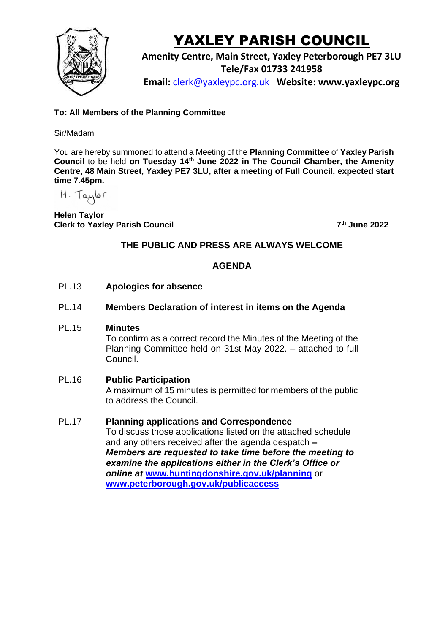

# YAXLEY PARISH COUNCIL

**Amenity Centre, Main Street, Yaxley Peterborough PE7 3LU Tele/Fax 01733 241958 Email:** [clerk@yaxleypc.org.uk](mailto:clerk@yaxleypc.org.uk) **Website: www.yaxleypc.org**

# **To: All Members of the Planning Committee**

#### Sir/Madam

You are hereby summoned to attend a Meeting of the **Planning Committee** of **Yaxley Parish Council** to be held **on Tuesday 14th June 2022 in The Council Chamber, the Amenity Centre, 48 Main Street, Yaxley PE7 3LU, after a meeting of Full Council, expected start time 7.45pm.**

 $H.$  Tayler

**Helen Taylor Clerk to Yaxley Parish Council 7**

**th June 2022**

# **THE PUBLIC AND PRESS ARE ALWAYS WELCOME**

# **AGENDA**

- PL.13 **Apologies for absence**
- PL.14 **Members Declaration of interest in items on the Agenda**
- PL.15 **Minutes**

To confirm as a correct record the Minutes of the Meeting of the Planning Committee held on 31st May 2022. – attached to full Council.

#### PL.16 **Public Participation**

A maximum of 15 minutes is permitted for members of the public to address the Council.

# PL.17 **Planning applications and Correspondence**

To discuss those applications listed on the attached schedule and any others received after the agenda despatch *– Members are requested to take time before the meeting to examine the applications either in the Clerk's Office or online at* **[www.huntingdonshire.gov.uk/planning](http://www.huntingdonshire.gov.uk/planning)** or **[www.peterborough.gov.uk/publicaccess](http://www.peterborough.gov.uk/publicaccess)**